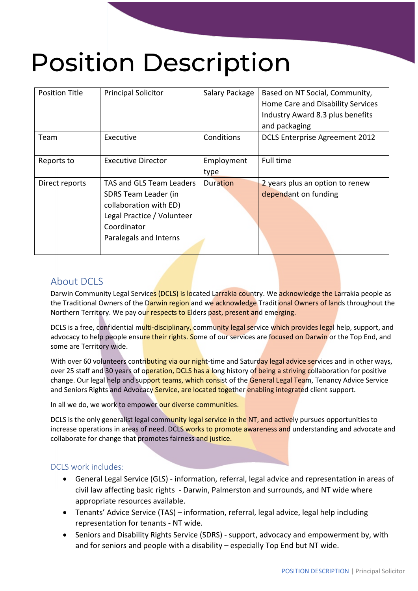# Position Description

| <b>Position Title</b> | <b>Principal Solicitor</b>                                                                                                                        | Salary Package     | Based on NT Social, Community,<br>Home Care and Disability Services<br>Industry Award 8.3 plus benefits<br>and packaging |
|-----------------------|---------------------------------------------------------------------------------------------------------------------------------------------------|--------------------|--------------------------------------------------------------------------------------------------------------------------|
| Team                  | Executive                                                                                                                                         | Conditions         | <b>DCLS Enterprise Agreement 2012</b>                                                                                    |
| Reports to            | <b>Executive Director</b>                                                                                                                         | Employment<br>type | Full time                                                                                                                |
| Direct reports        | TAS and GLS Team Leaders<br>SDRS Team Leader (in<br>collaboration with ED)<br>Legal Practice / Volunteer<br>Coordinator<br>Paralegals and Interns | Duration           | 2 years plus an option to renew<br>dependant on funding                                                                  |

## About DCLS

Darwin Community Legal Services (DCLS) is located Larrakia country. We acknowledge the Larrakia people as the Traditional Owners of the Darwin region and we acknowledge Traditional Owners of lands throughout the Northern Territory. We pay our respects to Elders past, present and emerging.

DCLS is a free, confidential multi-disciplinary, community legal service which provides legal help, support, and advocacy to help people ensure their rights. Some of our services are focused on Darwin or the Top End, and some are Territory wide.

With over 60 volunteers contributing via our night-time and Saturday legal advice services and in other ways, over 25 staff and 30 years of operation, DCLS has a long history of being a striving collaboration for positive change. Our legal help and support teams, which consist of the General Legal Team, Tenancy Advice Service and Seniors Rights and Advocacy Service, are located together enabling integrated client support.

In all we do, we work to empower our diverse communities.

DCLS is the only generalist legal community legal service in the NT, and actively pursues opportunities to increase operations in areas of need. DCLS works to promote awareness and understanding and advocate and collaborate for change that promotes fairness and justice.

#### DCLS work includes:

- General Legal Service (GLS) information, referral, legal advice and representation in areas of civil law affecting basic rights - Darwin, Palmerston and surrounds, and NT wide where appropriate resources available.
- Tenants' Advice Service (TAS) information, referral, legal advice, legal help including representation for tenants - NT wide.
- Seniors and Disability Rights Service (SDRS) support, advocacy and empowerment by, with and for seniors and people with a disability – especially Top End but NT wide.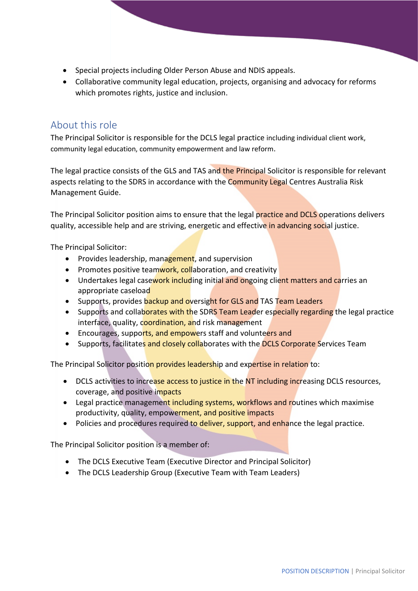- Special projects including Older Person Abuse and NDIS appeals.
- Collaborative community legal education, projects, organising and advocacy for reforms which promotes rights, justice and inclusion.

## About this role

The Principal Solicitor is responsible for the DCLS legal practice including individual client work, community legal education, community empowerment and law reform.

The legal practice consists of the GLS and TAS and the Principal Solicitor is responsible for relevant aspects relating to the SDRS in accordance with the Community Legal Centres Australia Risk Management Guide.

The Principal Solicitor position aims to ensure that the legal practice and DCLS operations delivers quality, accessible help and are striving, energetic and effective in advancing social justice.

The Principal Solicitor:

- Provides leadership, management, and supervision
- Promotes positive teamwork, collaboration, and creativity
- Undertakes legal casework including initial and ongoing client matters and carries an appropriate caseload
- Supports, provides backup and oversight for GLS and TAS Team Leaders
- Supports and collaborates with the SDRS Team Leader especially regarding the legal practice interface, quality, coordination, and risk management
- Encourages, supports, and empowers staff and volunteers and
- Supports, facilitates and closely collaborates with the DCLS Corporate Services Team

The Principal Solicitor position provides leadership and expertise in relation to:

- DCLS activities to increase access to justice in the NT including increasing DCLS resources, coverage, and positive impacts
- Legal practice management including systems, workflows and routines which maximise productivity, quality, empowerment, and positive impacts
- Policies and procedures required to deliver, support, and enhance the legal practice.

The Principal Solicitor position is a member of:

- The DCLS Executive Team (Executive Director and Principal Solicitor)
- The DCLS Leadership Group (Executive Team with Team Leaders)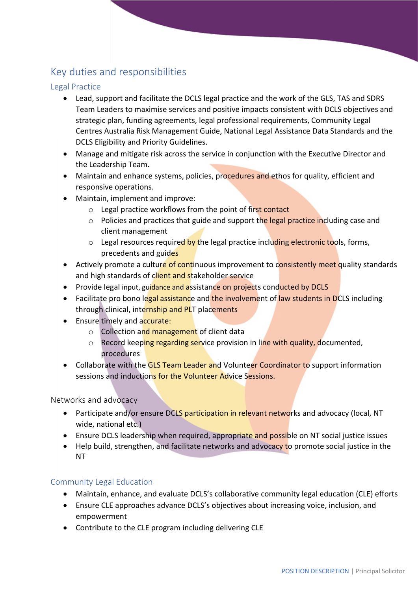# Key duties and responsibilities

#### Legal Practice

- Lead, support and facilitate the DCLS legal practice and the work of the GLS, TAS and SDRS Team Leaders to maximise services and positive impacts consistent with DCLS objectives and strategic plan, funding agreements, legal professional requirements, Community Legal Centres Australia Risk Management Guide, National Legal Assistance Data Standards and the DCLS Eligibility and Priority Guidelines.
- Manage and mitigate risk across the service in conjunction with the Executive Director and the Leadership Team.
- Maintain and enhance systems, policies, procedures and ethos for quality, efficient and responsive operations.
- Maintain, implement and improve:
	- o Legal practice workflows from the point of first contact
	- o Policies and practices that guide and support the legal practice including case and client management
	- o Legal resources required by the legal practice including electronic tools, forms, precedents and guides
- Actively promote a culture of continuous improvement to consistently meet quality standards and high standards of client and stakeholder service
- Provide legal input, guidance and assistance on projects conducted by DCLS
- Facilitate pro bono legal assistance and the involvement of law students in DCLS including through clinical, internship and PLT placements
- Ensure timely and accurate:
	- o Collection and management of client data
	- o Record keeping regarding service provision in line with quality, documented. procedures
- Collaborate with the GLS Team Leader and Volunteer Coordinator to support information sessions and inductions for the Volunteer Advice Sessions.

Networks and advocacy

- Participate and/or ensure DCLS participation in relevant networks and advocacy (local, NT wide, national etc.)
- Ensure DCLS leadership when required, appropriate and possible on NT social justice issues
- Help build, strengthen, and facilitate networks and advocacy to promote social justice in the NT

#### Community Legal Education

- Maintain, enhance, and evaluate DCLS's collaborative community legal education (CLE) efforts
- Ensure CLE approaches advance DCLS's objectives about increasing voice, inclusion, and empowerment
- Contribute to the CLE program including delivering CLE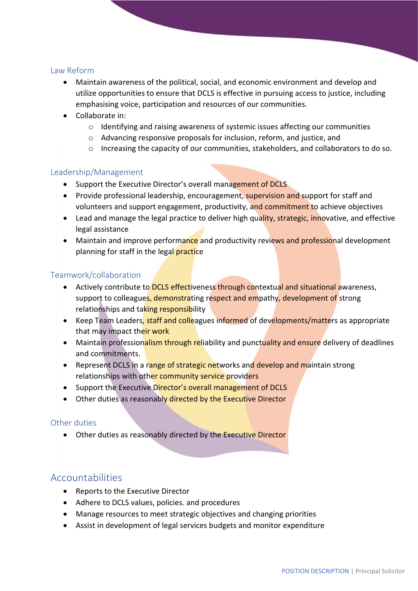#### Law Reform

- Maintain awareness of the political, social, and economic environment and develop and utilize opportunities to ensure that DCLS is effective in pursuing access to justice, including emphasising voice, participation and resources of our communities.
- Collaborate in:
	- $\circ$  Identifying and raising awareness of systemic issues affecting our communities
	- o Advancing responsive proposals for inclusion, reform, and justice, and
	- o Increasing the capacity of our communities, stakeholders, and collaborators to do so.

#### Leadership/Management

- Support the Executive Director's overall management of DCLS
- Provide professional leadership, encouragement, supervision and support for staff and volunteers and support engagement, productivity, and commitment to achieve objectives
- Lead and manage the legal practice to deliver high quality, strategic, innovative, and effective legal assistance
- Maintain and improve performance and productivity reviews and professional development planning for staff in the legal practice

#### Teamwork/collaboration

- Actively contribute to DCLS effectiveness through contextual and situational awareness, support to colleagues, demonstrating respect and empathy, development of strong relationships and taking responsibility
- Keep Team Leaders, staff and colleagues informed of developments/matters as appropriate that may impact their work
- Maintain professionalism through reliability and punctuality and ensure delivery of deadlines and commitments.
- Represent DCLS in a range of strategic networks and develop and maintain strong relationships with other community service providers
- Support the Executive Director's overall management of DCLS
- Other duties as reasonably directed by the Executive Director

#### Other duties

• Other duties as reasonably directed by the Executive Director

#### Accountabilities

- Reports to the Executive Director
- Adhere to DCLS values, policies. and procedures
- Manage resources to meet strategic objectives and changing priorities
- Assist in development of legal services budgets and monitor expenditure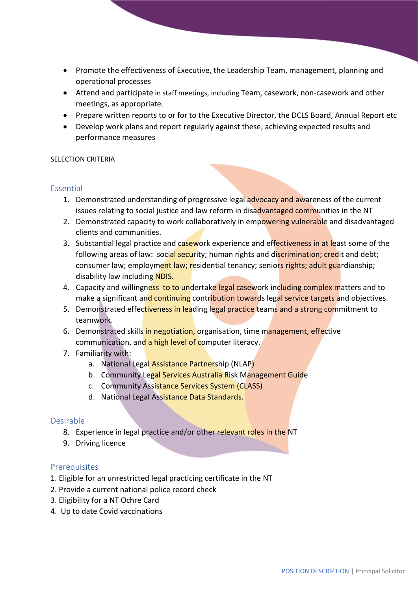- Promote the effectiveness of Executive, the Leadership Team, management, planning and operational processes
- Attend and participate in staff meetings, including Team, casework, non-casework and other meetings, as appropriate.
- Prepare written reports to or for to the Executive Director, the DCLS Board, Annual Report etc
- Develop work plans and report regularly against these, achieving expected results and performance measures

#### SELECTION CRITERIA

#### Essential

- 1. Demonstrated understanding of progressive legal advocacy and awareness of the current issues relating to social justice and law reform in disadvantaged communities in the NT
- 2. Demonstrated capacity to work collaboratively in empowering vulnerable and disadvantaged clients and communities.
- 3. Substantial legal practice and casework experience and effectiveness in at least some of the following areas of law: social security; human rights and discrimination; credit and debt; consumer law; employment law; residential tenancy; seniors rights; adult guardianship; disability law including NDIS.
- 4. Capacity and willingness to to undertake legal casework including complex matters and to make a significant and continuing contribution towards legal service targets and objectives.
- 5. Demonstrated effectiveness in leading legal practice teams and a strong commitment to teamwork.
- 6. Demonstrated skills in negotiation, organisation, time management, effective communication, and a high level of computer literacy.
- 7. Familiarity with:
	- a. National Legal Assistance Partnership (NLAP)
	- b. Community Legal Services Australia Risk Management Guide
	- c. Community Assistance Services System (CLASS)
	- d. National Legal Assistance Data Standards.

#### Desirable

- 8. Experience in legal practice and/or other relevant roles in the NT
- 9. Driving licence

#### **Prerequisites**

- 1. Eligible for an unrestricted legal practicing certificate in the NT
- 2. Provide a current national police record check
- 3. Eligibility for a NT Ochre Card
- 4. Up to date Covid vaccinations